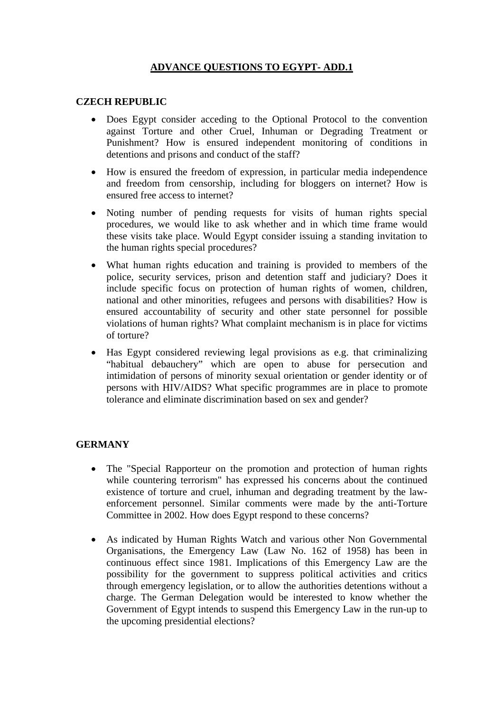# **ADVANCE QUESTIONS TO EGYPT- ADD.1**

## **CZECH REPUBLIC**

- Does Egypt consider acceding to the Optional Protocol to the convention against Torture and other Cruel, Inhuman or Degrading Treatment or Punishment? How is ensured independent monitoring of conditions in detentions and prisons and conduct of the staff?
- How is ensured the freedom of expression, in particular media independence and freedom from censorship, including for bloggers on internet? How is ensured free access to internet?
- Noting number of pending requests for visits of human rights special procedures, we would like to ask whether and in which time frame would these visits take place. Would Egypt consider issuing a standing invitation to the human rights special procedures?
- What human rights education and training is provided to members of the police, security services, prison and detention staff and judiciary? Does it include specific focus on protection of human rights of women, children, national and other minorities, refugees and persons with disabilities? How is ensured accountability of security and other state personnel for possible violations of human rights? What complaint mechanism is in place for victims of torture?
- Has Egypt considered reviewing legal provisions as e.g. that criminalizing "habitual debauchery" which are open to abuse for persecution and intimidation of persons of minority sexual orientation or gender identity or of persons with HIV/AIDS? What specific programmes are in place to promote tolerance and eliminate discrimination based on sex and gender?

## **GERMANY**

- The "Special Rapporteur on the promotion and protection of human rights while countering terrorism" has expressed his concerns about the continued existence of torture and cruel, inhuman and degrading treatment by the lawenforcement personnel. Similar comments were made by the anti-Torture Committee in 2002. How does Egypt respond to these concerns?
- As indicated by Human Rights Watch and various other Non Governmental Organisations, the Emergency Law (Law No. 162 of 1958) has been in continuous effect since 1981. Implications of this Emergency Law are the possibility for the government to suppress political activities and critics through emergency legislation, or to allow the authorities detentions without a charge. The German Delegation would be interested to know whether the Government of Egypt intends to suspend this Emergency Law in the run-up to the upcoming presidential elections?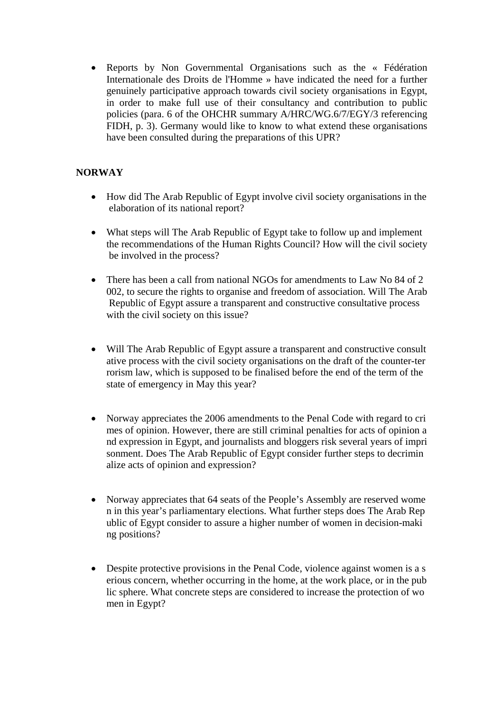• Reports by Non Governmental Organisations such as the « Fédération Internationale des Droits de l'Homme » have indicated the need for a further genuinely participative approach towards civil society organisations in Egypt, in order to make full use of their consultancy and contribution to public policies (para. 6 of the OHCHR summary A/HRC/WG.6/7/EGY/3 referencing FIDH, p. 3). Germany would like to know to what extend these organisations have been consulted during the preparations of this UPR?

# **NORWAY**

- How did The Arab Republic of Egypt involve civil society organisations in the elaboration of its national report?
- What steps will The Arab Republic of Egypt take to follow up and implement the recommendations of the Human Rights Council? How will the civil society be involved in the process?
- There has been a call from national NGOs for amendments to Law No 84 of 2 002, to secure the rights to organise and freedom of association. Will The Arab Republic of Egypt assure a transparent and constructive consultative process with the civil society on this issue?
- Will The Arab Republic of Egypt assure a transparent and constructive consult ative process with the civil society organisations on the draft of the counter-ter rorism law, which is supposed to be finalised before the end of the term of the state of emergency in May this year?
- Norway appreciates the 2006 amendments to the Penal Code with regard to cri mes of opinion. However, there are still criminal penalties for acts of opinion a nd expression in Egypt, and journalists and bloggers risk several years of impri sonment. Does The Arab Republic of Egypt consider further steps to decrimin alize acts of opinion and expression?
- Norway appreciates that 64 seats of the People's Assembly are reserved wome n in this year's parliamentary elections. What further steps does The Arab Rep ublic of Egypt consider to assure a higher number of women in decision-maki ng positions?
- Despite protective provisions in the Penal Code, violence against women is a s erious concern, whether occurring in the home, at the work place, or in the pub lic sphere. What concrete steps are considered to increase the protection of wo men in Egypt?